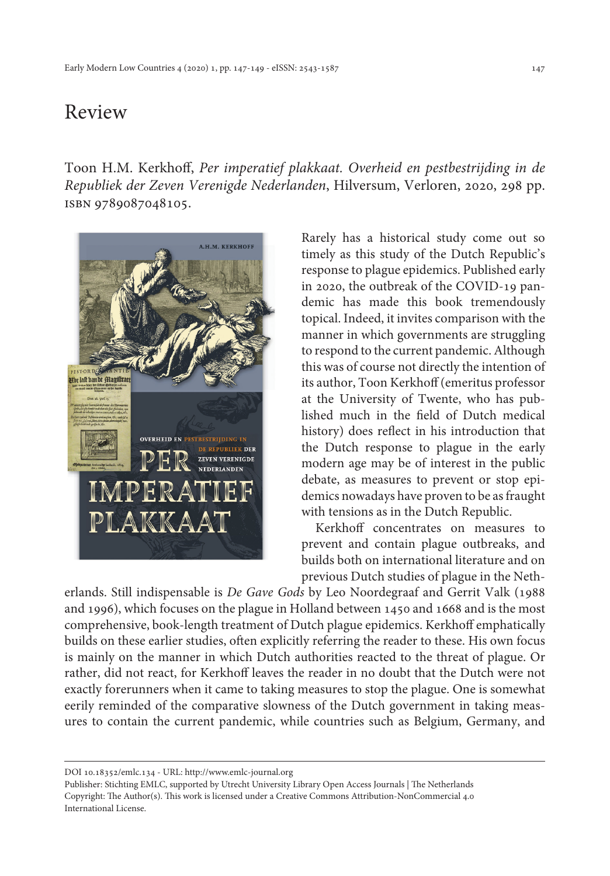## Review

Toon H.M. Kerkhoff, *Per imperatief plakkaat. Overheid en pestbestrijding in de Republiek der Zeven Verenigde Nederlanden*, Hilversum, Verloren, 2020, 298 pp. isbn 9789087048105.



Rarely has a historical study come out so timely as this study of the Dutch Republic's response to plague epidemics. Published early in 2020, the outbreak of the COVID-19 pandemic has made this book tremendously topical. Indeed, it invites comparison with the manner in which governments are struggling to respond to the current pandemic. Although this was of course not directly the intention of its author, Toon Kerkhoff (emeritus professor at the University of Twente, who has published much in the field of Dutch medical history) does reflect in his introduction that the Dutch response to plague in the early modern age may be of interest in the public debate, as measures to prevent or stop epidemics nowadays have proven to be as fraught with tensions as in the Dutch Republic.

Kerkhoff concentrates on measures to prevent and contain plague outbreaks, and builds both on international literature and on previous Dutch studies of plague in the Neth-

erlands. Still indispensable is *De Gave Gods* by Leo Noordegraaf and Gerrit Valk (1988 and 1996), which focuses on the plague in Holland between 1450 and 1668 and is the most comprehensive, book-length treatment of Dutch plague epidemics. Kerkhoff emphatically builds on these earlier studies, often explicitly referring the reader to these. His own focus is mainly on the manner in which Dutch authorities reacted to the threat of plague. Or rather, did not react, for Kerkhoff leaves the reader in no doubt that the Dutch were not exactly forerunners when it came to taking measures to stop the plague. One is somewhat eerily reminded of the comparative slowness of the Dutch government in taking measures to contain the current pandemic, while countries such as Belgium, Germany, and

DOI 10.18352/emlc.134 - URL: <http://www.emlc-journal.org>

Publisher: Stichting EMLC, supported by Utrecht University Library Open Access Journals | The Netherlands Copyright: The Author(s). This work is licensed under a Creative Commons Attribution-NonCommercial 4.0 International License.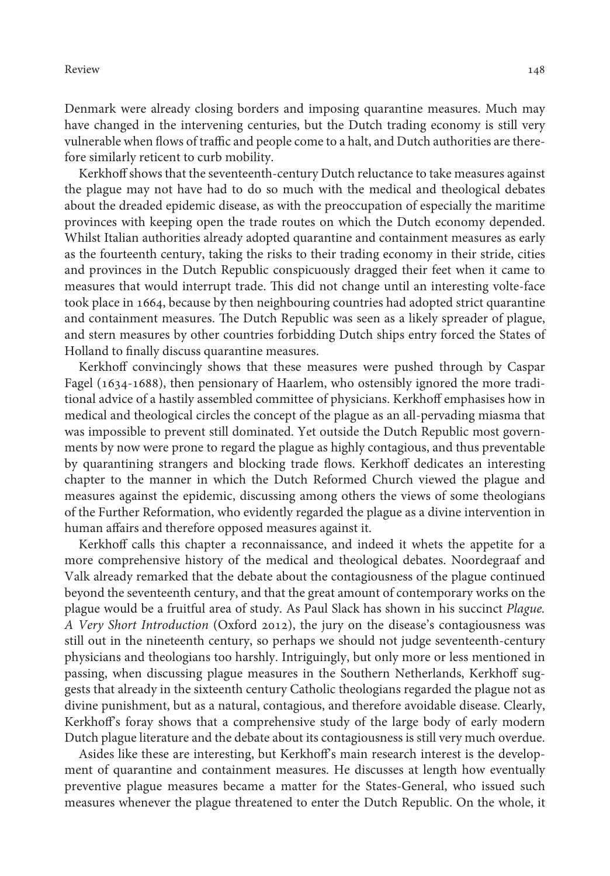Review 148

Denmark were already closing borders and imposing quarantine measures. Much may have changed in the intervening centuries, but the Dutch trading economy is still very vulnerable when flows of traffic and people come to a halt, and Dutch authorities are therefore similarly reticent to curb mobility.

Kerkhoff shows that the seventeenth-century Dutch reluctance to take measures against the plague may not have had to do so much with the medical and theological debates about the dreaded epidemic disease, as with the preoccupation of especially the maritime provinces with keeping open the trade routes on which the Dutch economy depended. Whilst Italian authorities already adopted quarantine and containment measures as early as the fourteenth century, taking the risks to their trading economy in their stride, cities and provinces in the Dutch Republic conspicuously dragged their feet when it came to measures that would interrupt trade. This did not change until an interesting volte-face took place in 1664, because by then neighbouring countries had adopted strict quarantine and containment measures. The Dutch Republic was seen as a likely spreader of plague, and stern measures by other countries forbidding Dutch ships entry forced the States of Holland to finally discuss quarantine measures.

Kerkhoff convincingly shows that these measures were pushed through by Caspar Fagel (1634-1688), then pensionary of Haarlem, who ostensibly ignored the more traditional advice of a hastily assembled committee of physicians. Kerkhoff emphasises how in medical and theological circles the concept of the plague as an all-pervading miasma that was impossible to prevent still dominated. Yet outside the Dutch Republic most governments by now were prone to regard the plague as highly contagious, and thus preventable by quarantining strangers and blocking trade flows. Kerkhoff dedicates an interesting chapter to the manner in which the Dutch Reformed Church viewed the plague and measures against the epidemic, discussing among others the views of some theologians of the Further Reformation, who evidently regarded the plague as a divine intervention in human affairs and therefore opposed measures against it.

Kerkhoff calls this chapter a reconnaissance, and indeed it whets the appetite for a more comprehensive history of the medical and theological debates. Noordegraaf and Valk already remarked that the debate about the contagiousness of the plague continued beyond the seventeenth century, and that the great amount of contemporary works on the plague would be a fruitful area of study. As Paul Slack has shown in his succinct *Plague. A Very Short Introduction* (Oxford 2012), the jury on the disease's contagiousness was still out in the nineteenth century, so perhaps we should not judge seventeenth-century physicians and theologians too harshly. Intriguingly, but only more or less mentioned in passing, when discussing plague measures in the Southern Netherlands, Kerkhoff suggests that already in the sixteenth century Catholic theologians regarded the plague not as divine punishment, but as a natural, contagious, and therefore avoidable disease. Clearly, Kerkhoff's foray shows that a comprehensive study of the large body of early modern Dutch plague literature and the debate about its contagiousness is still very much overdue.

Asides like these are interesting, but Kerkhoff's main research interest is the development of quarantine and containment measures. He discusses at length how eventually preventive plague measures became a matter for the States-General, who issued such measures whenever the plague threatened to enter the Dutch Republic. On the whole, it